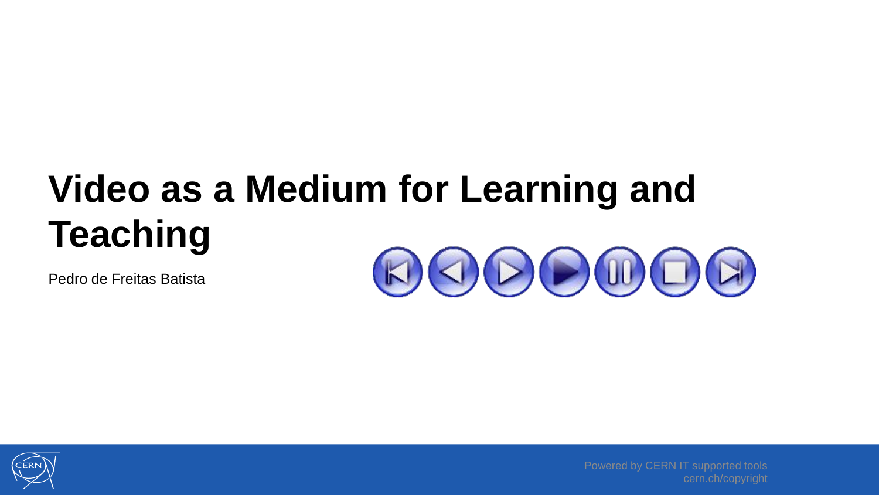## **Video as a Medium for Learning and Teaching**

Pedro de Freitas Batista





Powered by CERN IT supported tools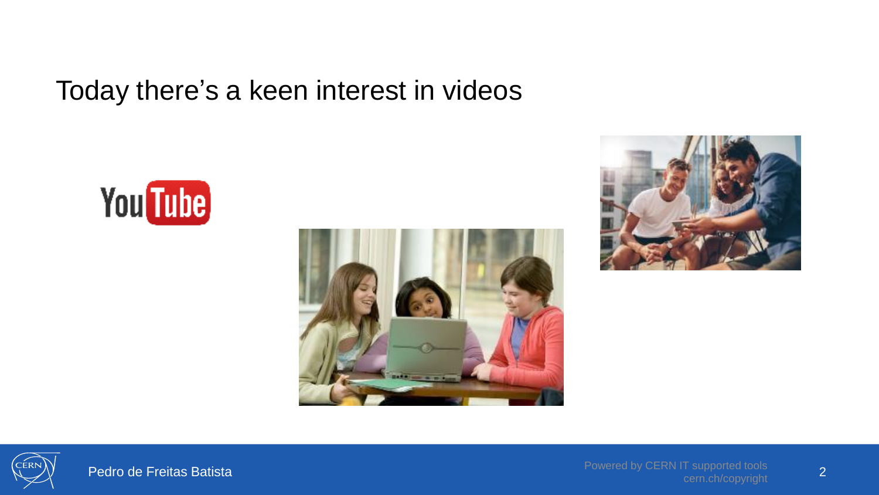#### Today there's a keen interest in videos







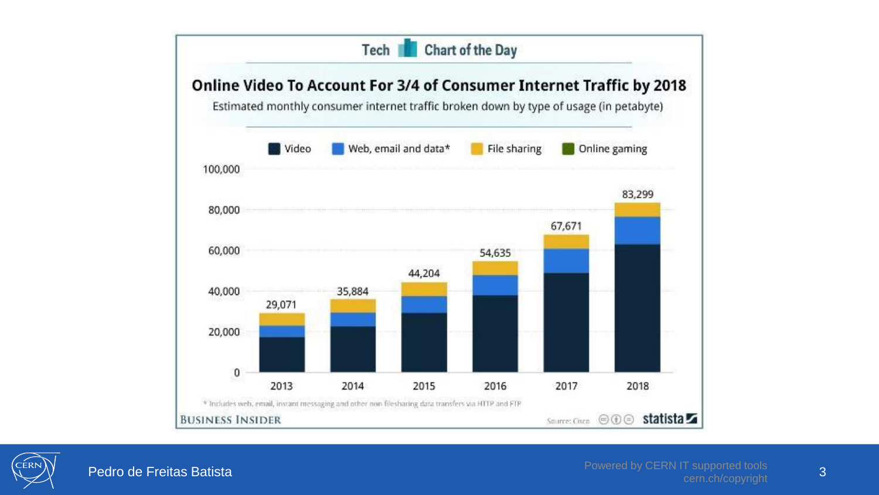

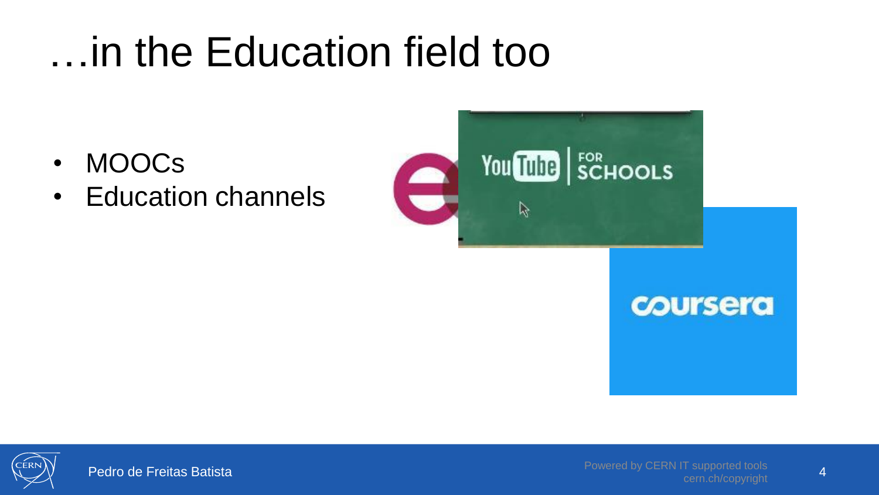#### …in the Education field too

- MOOCs
- Education channels



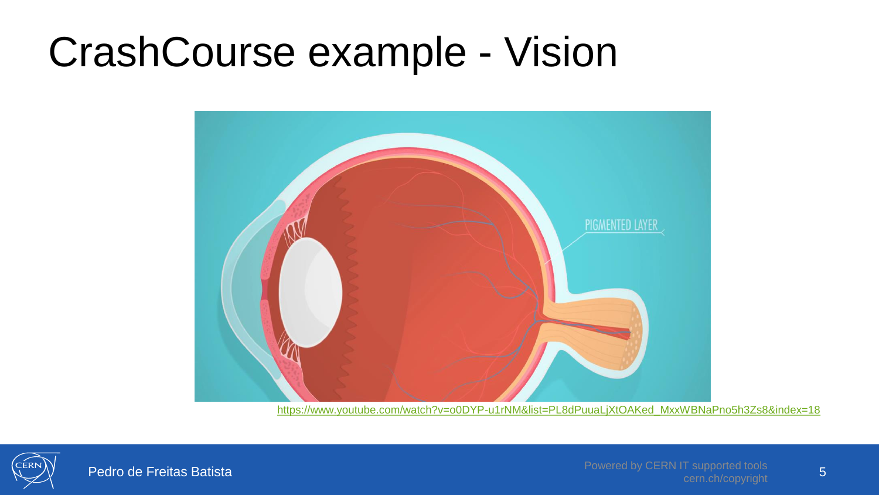#### CrashCourse example - Vision



[https://www.youtube.com/watch?v=o0DYP-u1rNM&list=PL8dPuuaLjXtOAKed\\_MxxWBNaPno5h3Zs8&index=18](https://www.youtube.com/watch?v=o0DYP-u1rNM&list=PL8dPuuaLjXtOAKed_MxxWBNaPno5h3Zs8&index=18)

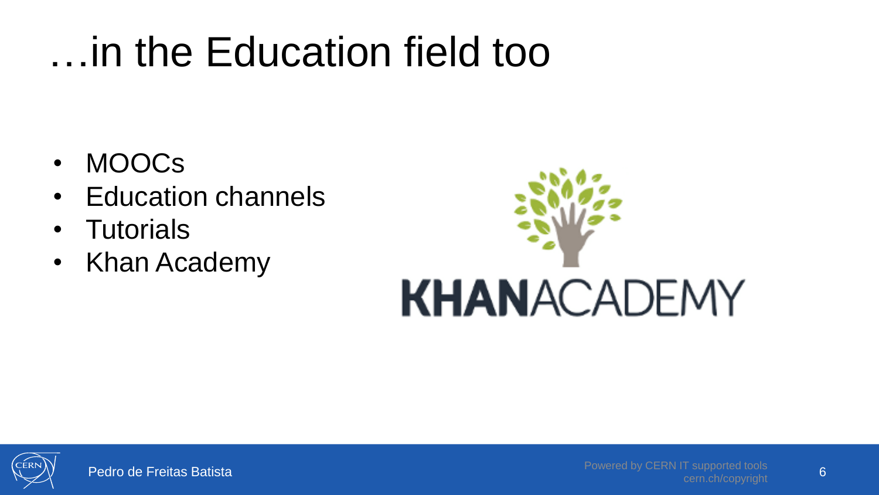#### …in the Education field too

- MOOCs
- Education channels
- Tutorials
- Khan Academy



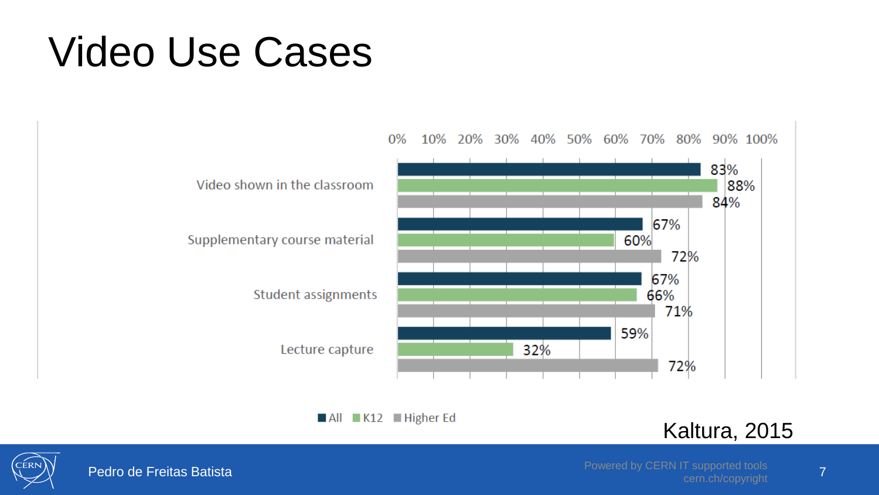#### Video Use Cases



All K12 Higher Ed

#### Kaltura, 2015



Cern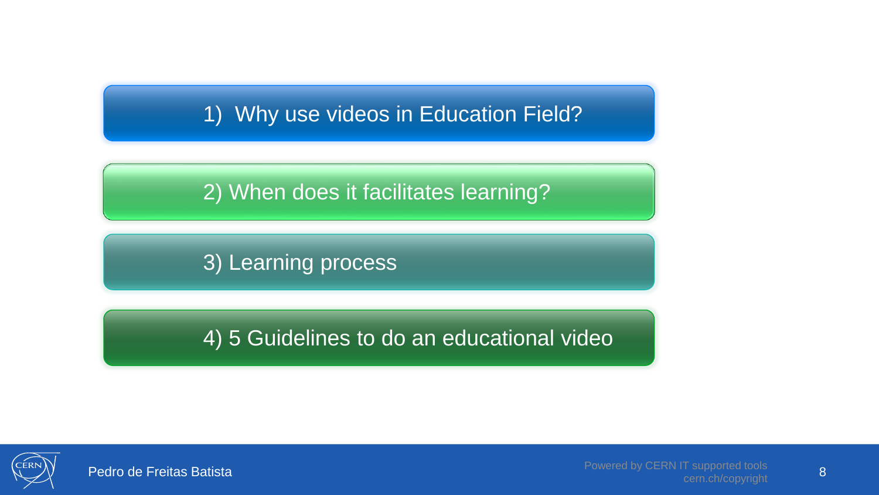#### 1) Why use videos in Education Field?

2) When does it facilitates learning?

3) Learning process

4) 5 Guidelines to do an educational video

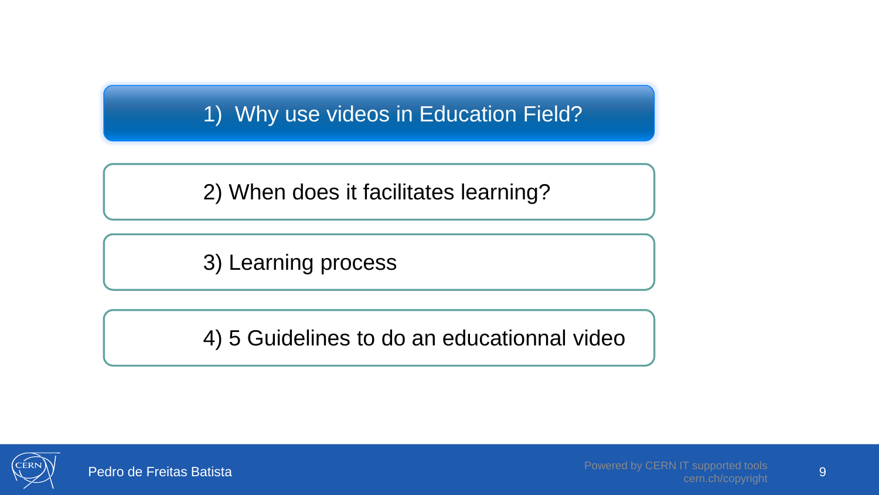1) Why use videos in Education Field?

2) When does it facilitates learning?

3) Learning process

4) 5 Guidelines to do an educationnal video

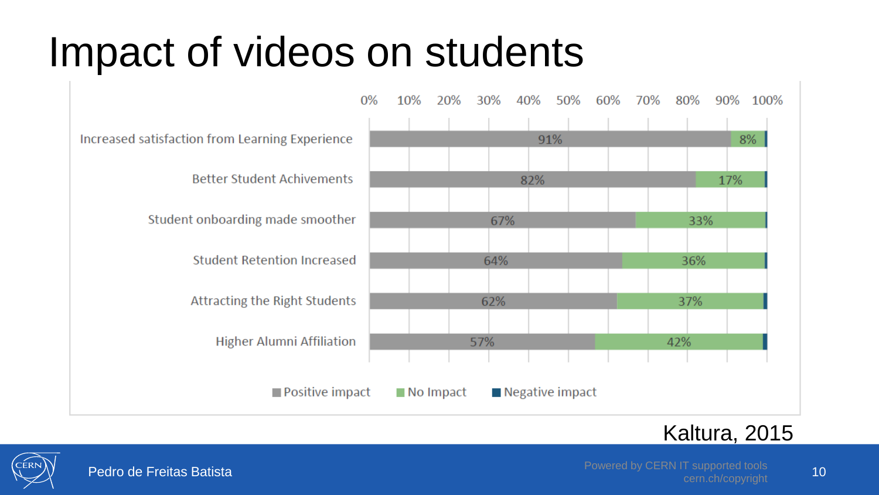#### Impact of videos on students



#### Kaltura, 2015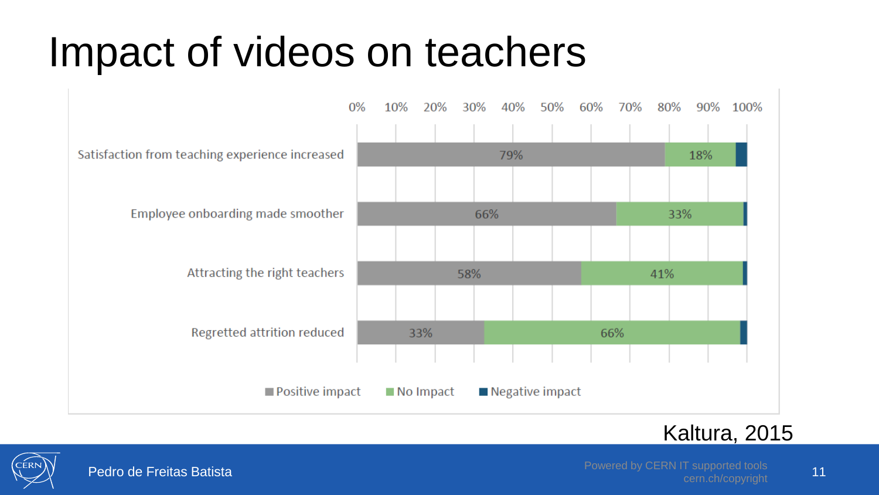#### Impact of videos on teachers



#### Kaltura, 2015

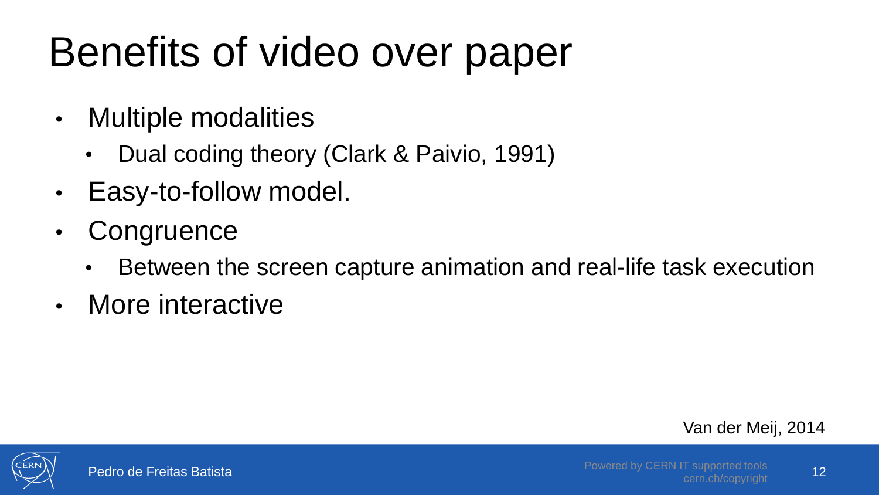# Benefits of video over paper

- Multiple modalities
	- Dual coding theory (Clark & Paivio, 1991)
- Easy-to-follow model.
- Congruence
	- Between the screen capture animation and real-life task execution
- More interactive

Van der Meij, 2014

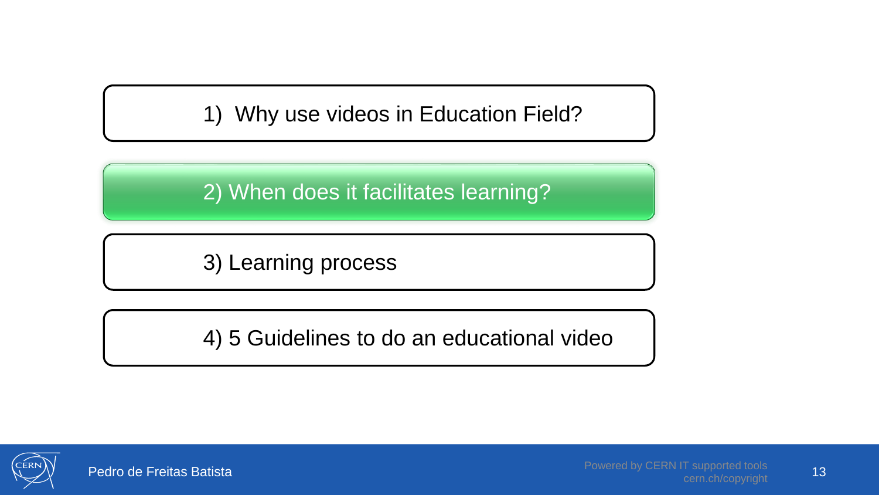1) Why use videos in Education Field?

2) When does it facilitates learning?

3) Learning process

4) 5 Guidelines to do an educational video

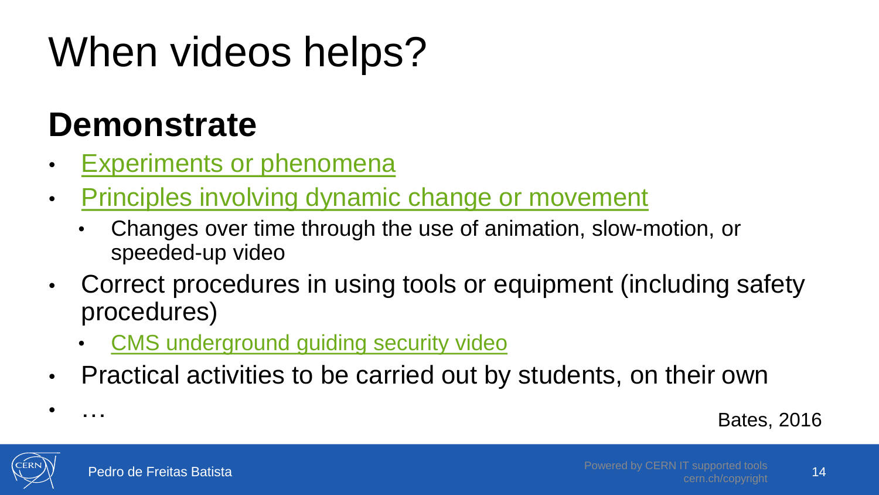# When videos helps?

#### **Demonstrate**

- Experiments [or phenomena](https://youtu.be/xB7rXw_3gVY?t=5m30s)
- [Principles involving dynamic change or movement](https://youtu.be/yyohu4h0Xkg)
	- Changes over time through the use of animation, slow-motion, or speeded-up video
- Correct procedures in using tools or equipment (including safety procedures)
	- [CMS underground guiding security video](https://cds.cern.ch/record/2233152?ln=en)
- Practical activities to be carried out by students, on their own

Bates, 2016



• …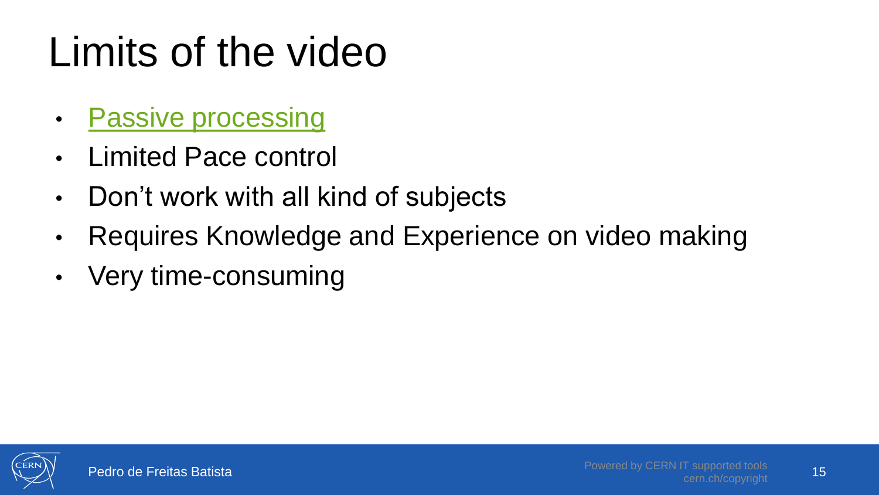# Limits of the video

- [Passive processing](https://youtu.be/qV-WoquC4dA)
- Limited Pace control
- Don't work with all kind of subjects
- Requires Knowledge and Experience on video making
- Very time-consuming

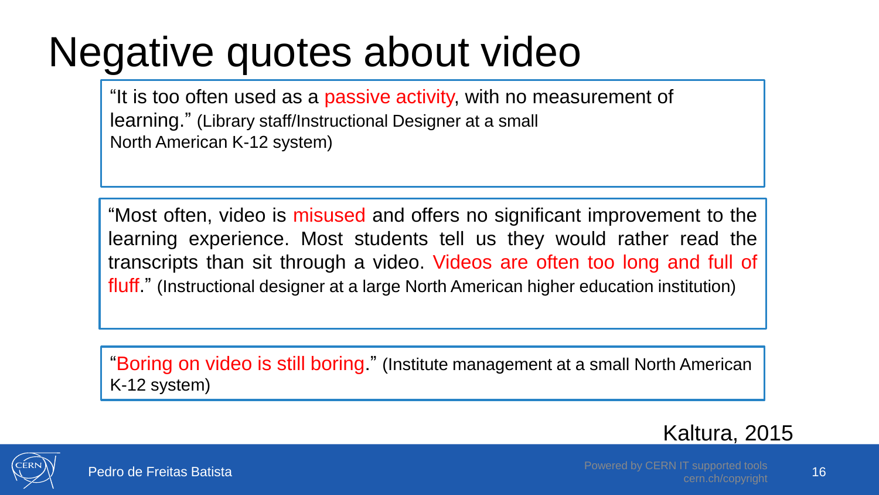#### Negative quotes about video

"It is too often used as a passive activity, with no measurement of learning." (Library staff/Instructional Designer at a small North American K-12 system)

"Most often, video is misused and offers no significant improvement to the learning experience. Most students tell us they would rather read the transcripts than sit through a video. Videos are often too long and full of fluff." (Instructional designer at a large North American higher education institution)

"Boring on video is still boring." (Institute management at a small North American K-12 system)



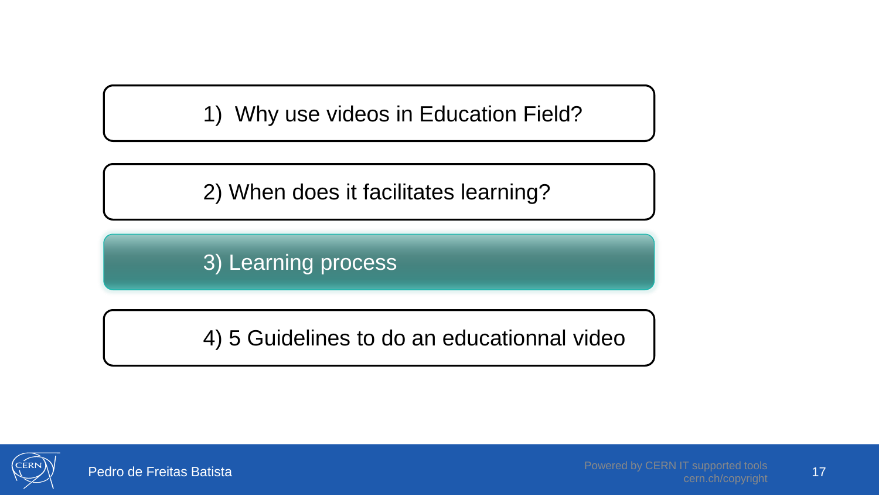1) Why use videos in Education Field?

2) When does it facilitates learning?

3) Learning process

4) 5 Guidelines to do an educationnal video



17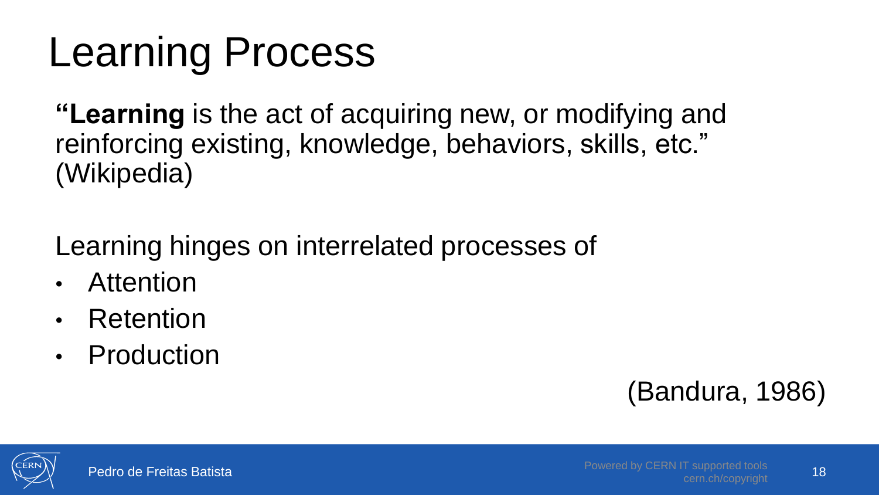### Learning Process

**"Learning** is the act of acquiring new, or modifying and reinforcing existing, knowledge, behaviors, skills, etc." (Wikipedia)

Learning hinges on interrelated processes of

- Attention
- Retention
- Production

#### (Bandura, 1986)

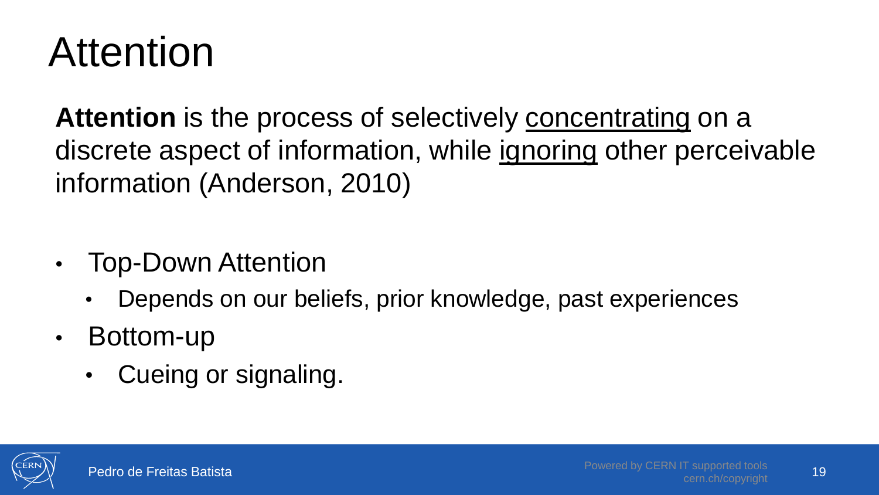#### Attention

**Attention** is the process of selectively concentrating on a discrete aspect of information, while ignoring other perceivable information (Anderson, 2010)

- Top-Down Attention
	- Depends on our beliefs, prior knowledge, past experiences
- Bottom-up
	- Cueing or signaling.

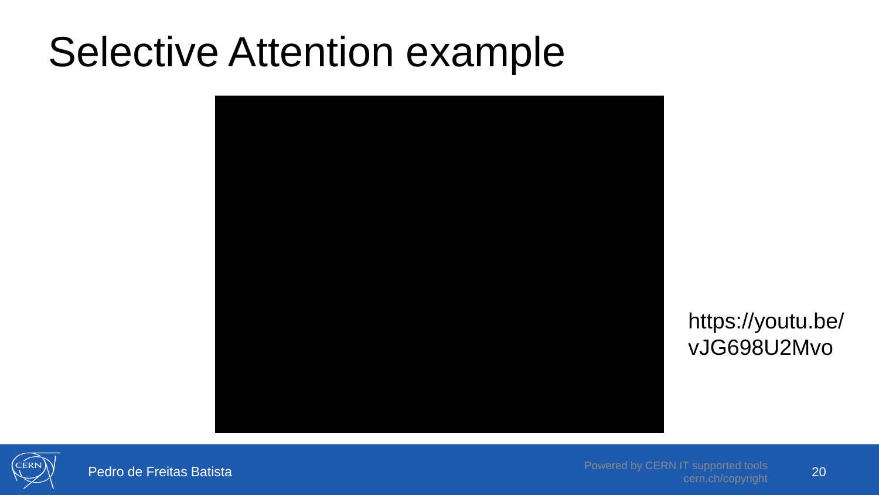#### Selective Attention example



https://youtu.be/ vJG698U2Mvo



Pedro de Freitas Batista

Powered by CERN IT supported tools cern.ch/copyright 20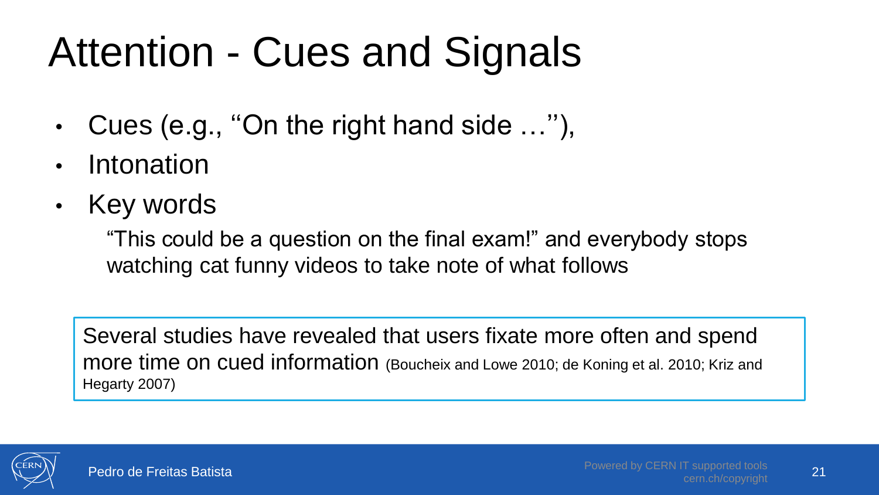# Attention - Cues and Signals

- Cues (e.g., ''On the right hand side …''),
- **Intonation**
- Key words

"This could be a question on the final exam!" and everybody stops watching cat funny videos to take note of what follows

Several studies have revealed that users fixate more often and spend more time on cued information (Boucheix and Lowe 2010; de Koning et al. 2010; Kriz and Hegarty 2007)

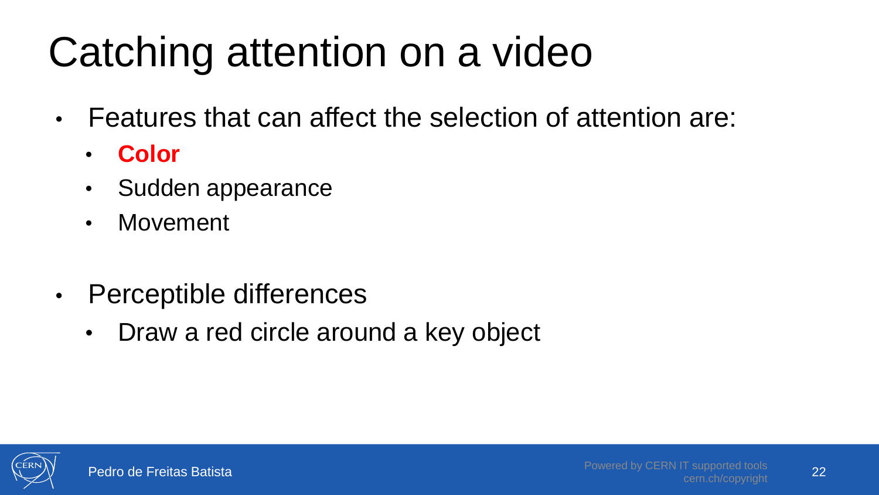# Catching attention on a video

- Features that can affect the selection of attention are:
	- **Color**
	- Sudden appearance
	- Movement
- Perceptible differences
	- Draw a red circle around a key object

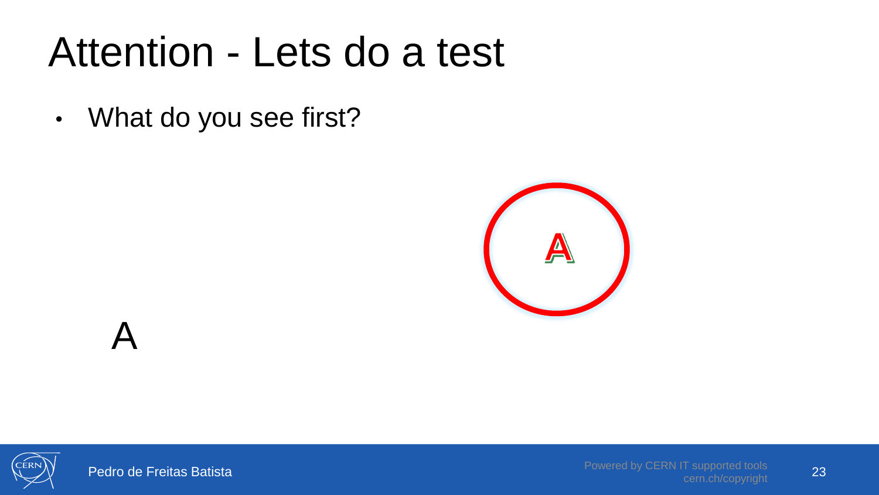#### Attention - Lets do a test

• What do you see first?





Pedro de Freitas Batista

 $\boldsymbol{\mathsf{A}}$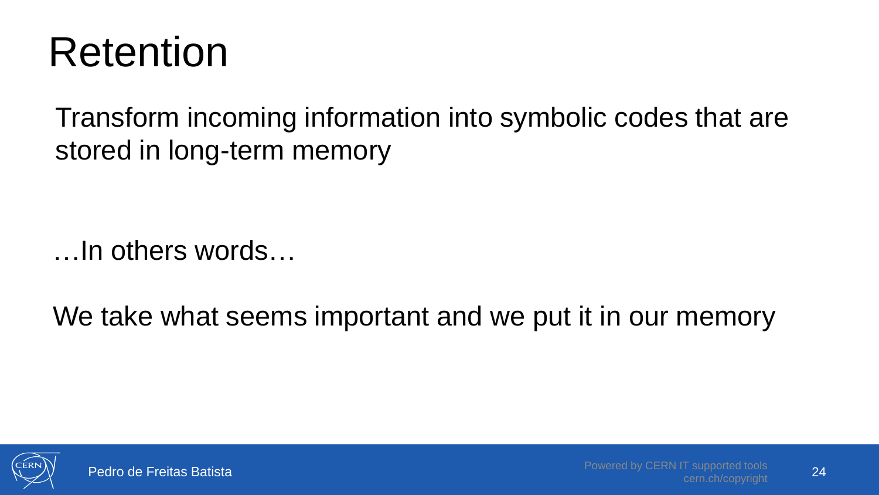#### Retention

Transform incoming information into symbolic codes that are stored in long-term memory

…In others words…

We take what seems important and we put it in our memory



24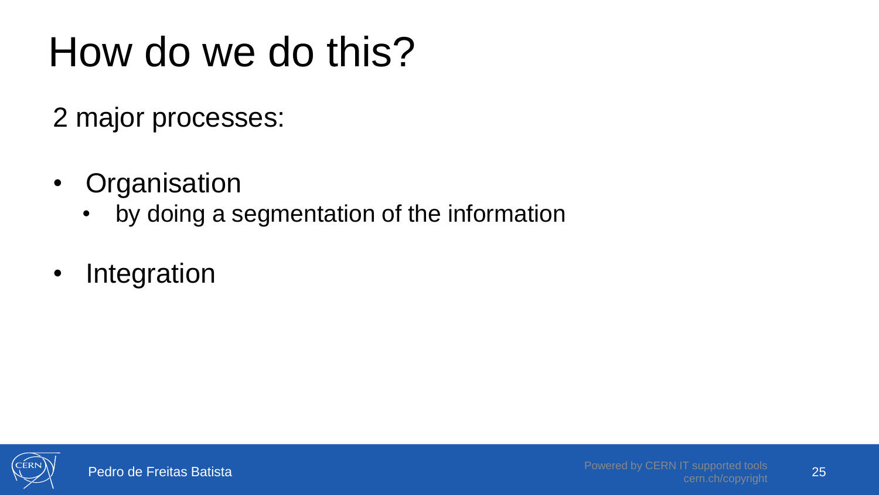# How do we do this?

2 major processes:

- Organisation
	- by doing a segmentation of the information
- Integration

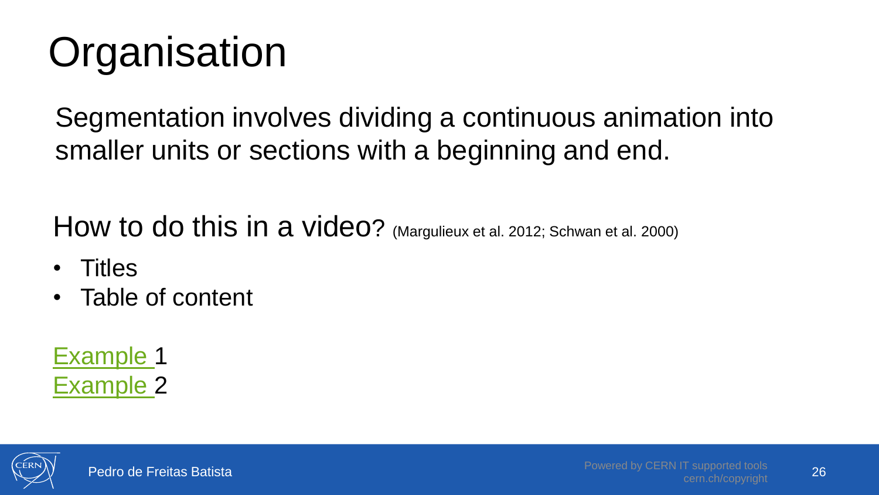# **Organisation**

Segmentation involves dividing a continuous animation into smaller units or sections with a beginning and end.

How to do this in a video? (Margulieux et al. 2012; Schwan et al. 2000)

- Titles
- Table of content

[Example 1](http://study.com/academy/lesson/foot-in-the-door-technique-definition-effect-examples.html) [Example 2](ex4/clicker/clicker.html)

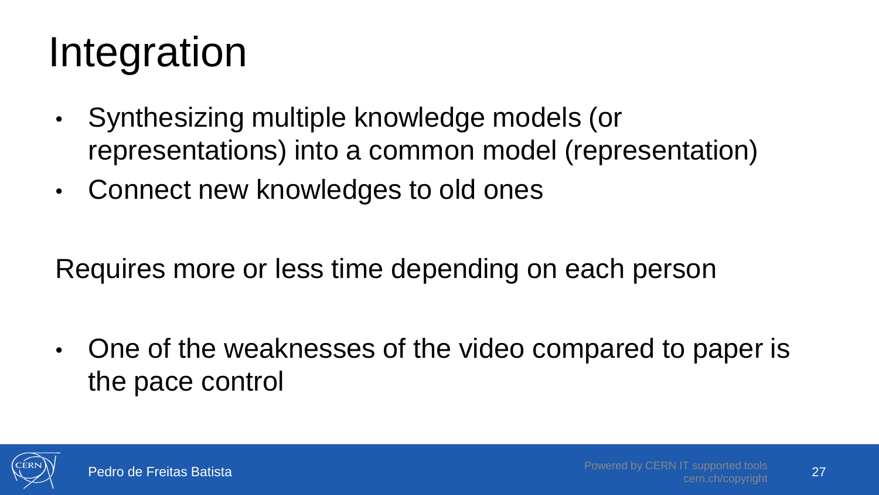# Integration

- Synthesizing multiple knowledge models (or representations) into a common model (representation)
- Connect new knowledges to old ones

Requires more or less time depending on each person

• One of the weaknesses of the video compared to paper is the pace control

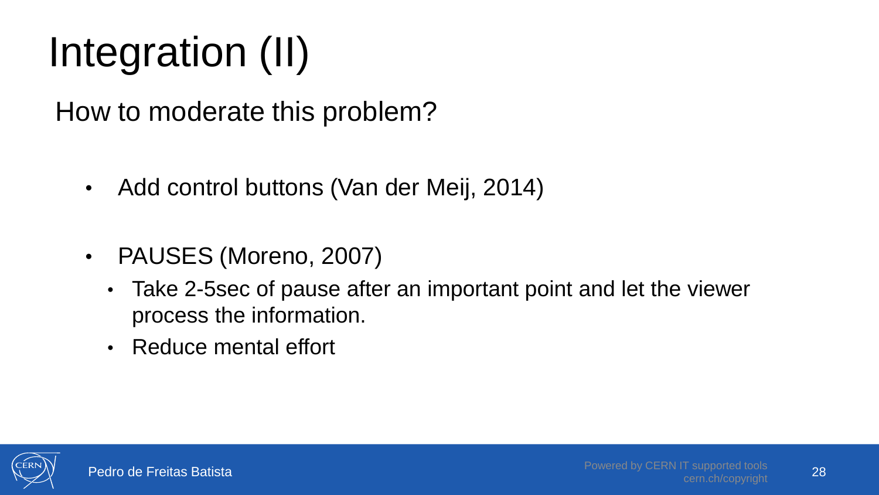# Integration (II)

How to moderate this problem?

- Add control buttons (Van der Meij, 2014)
- PAUSES (Moreno, 2007)
	- Take 2-5sec of pause after an important point and let the viewer process the information.
	- Reduce mental effort

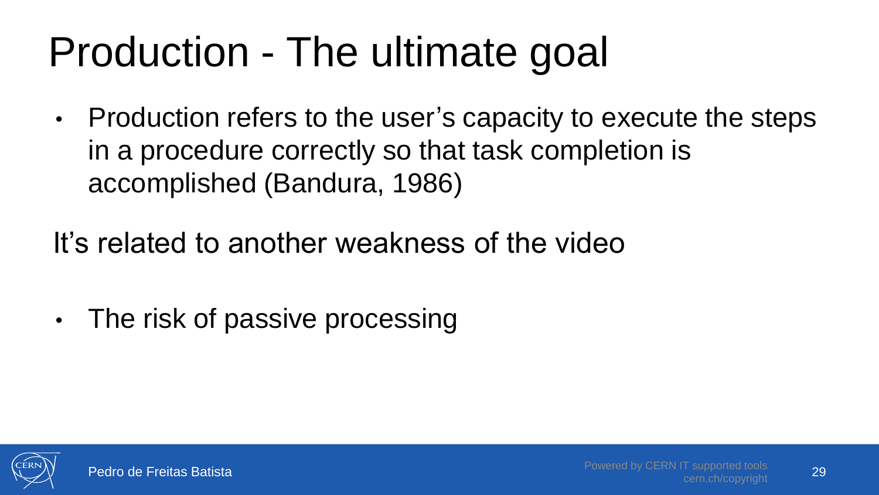# Production - The ultimate goal

- Production refers to the user's capacity to execute the steps in a procedure correctly so that task completion is accomplished (Bandura, 1986)
- It's related to another weakness of the video
- The risk of passive processing

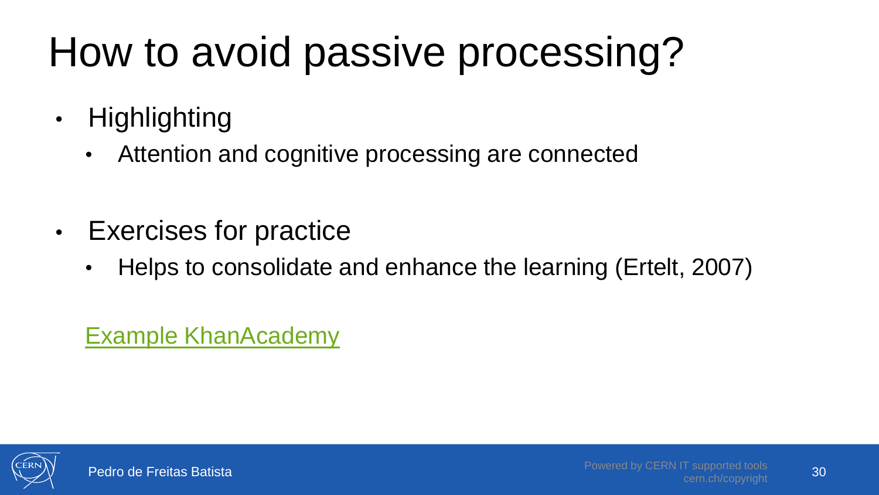# How to avoid passive processing?

- Highlighting
	- Attention and cognitive processing are connected
- Exercises for practice
	- Helps to consolidate and enhance the learning (Ertelt, 2007)

[Example KhanAcademy](https://en.khanacademy.org/math/pre-algebra/pre-algebra-arith-prop?ref=resume_learning#pre-algebra-place-value)

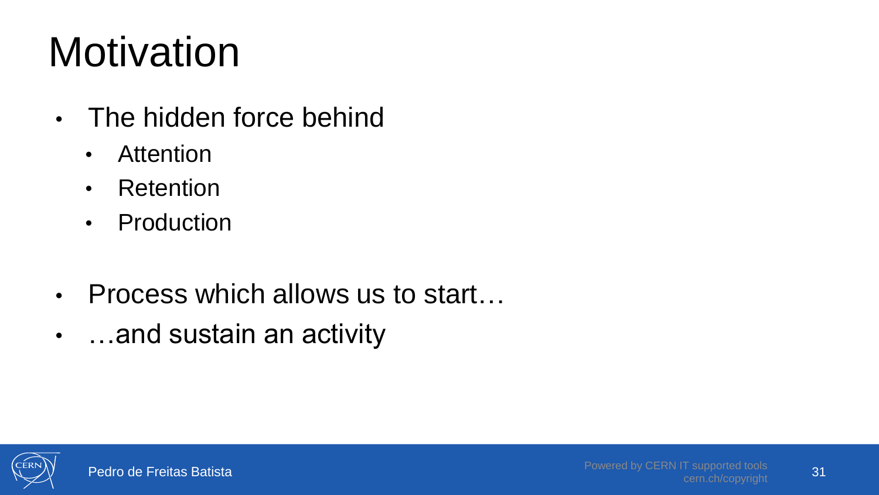# **Motivation**

- The hidden force behind
	- Attention
	- Retention
	- Production
- Process which allows us to start...
- …and sustain an activity

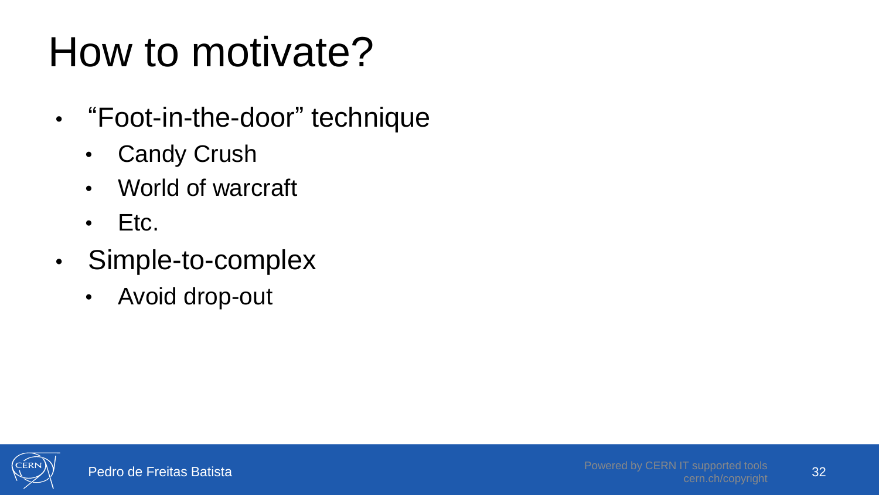## How to motivate?

- "Foot-in-the-door" technique
	- Candy Crush
	- World of warcraft
	- Etc.
- Simple-to-complex
	- Avoid drop-out

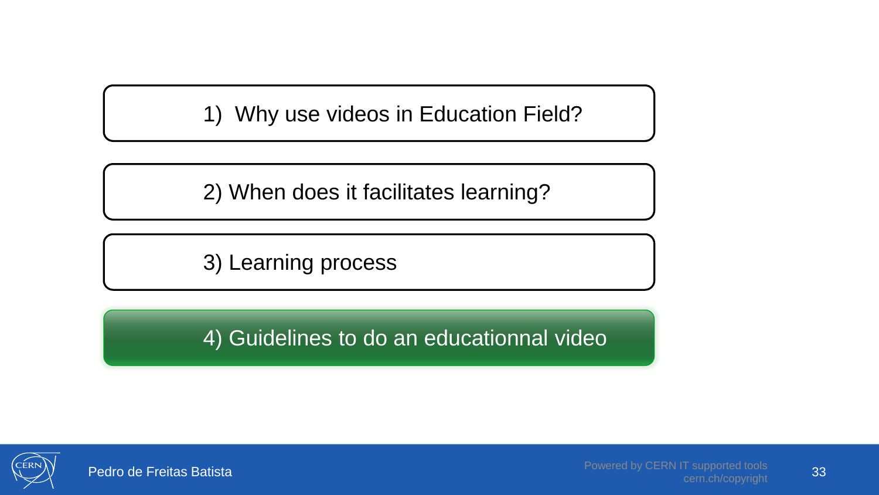1) Why use videos in Education Field?

2) When does it facilitates learning?

3) Learning process

4) Guidelines to do an educationnal video



33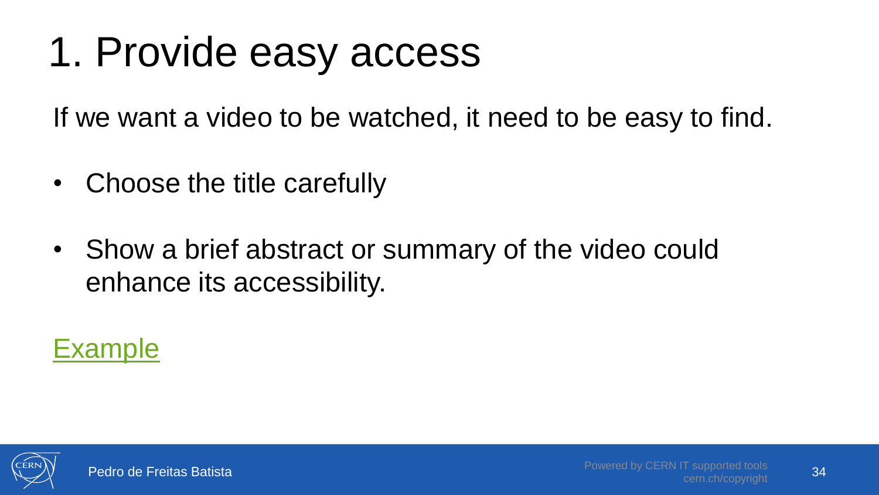### 1. Provide easy access

If we want a video to be watched, it need to be easy to find.

- Choose the title carefully
- Show a brief abstract or summary of the video could enhance its accessibility.



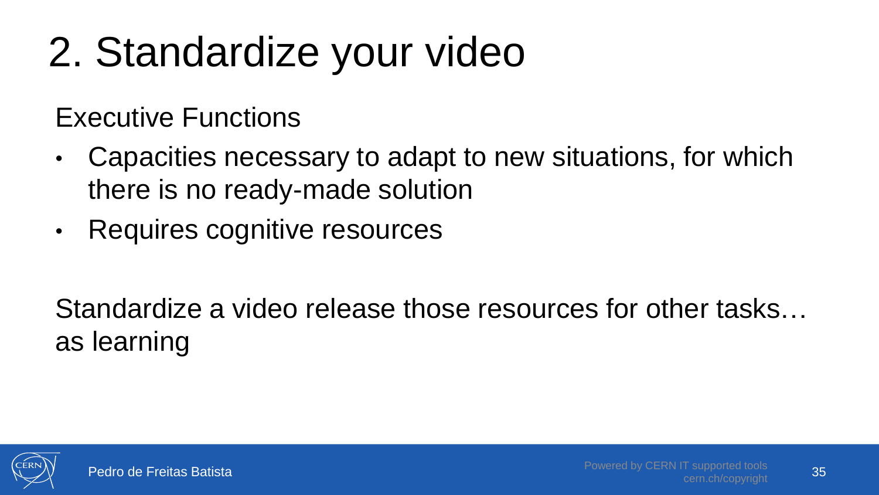# 2. Standardize your video

Executive Functions

- Capacities necessary to adapt to new situations, for which there is no ready-made solution
- Requires cognitive resources

Standardize a video release those resources for other tasks… as learning

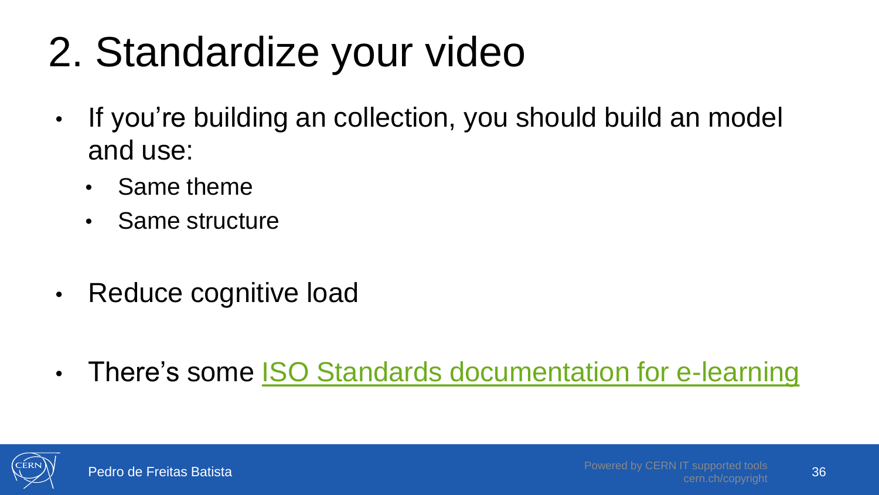# 2. Standardize your video

- If you're building an collection, you should build an model and use:
	- Same theme
	- Same structure
- Reduce cognitive load
- There's some [ISO Standards documentation for e-learning](https://cds.cern.ch/record/1977885?ln=en)

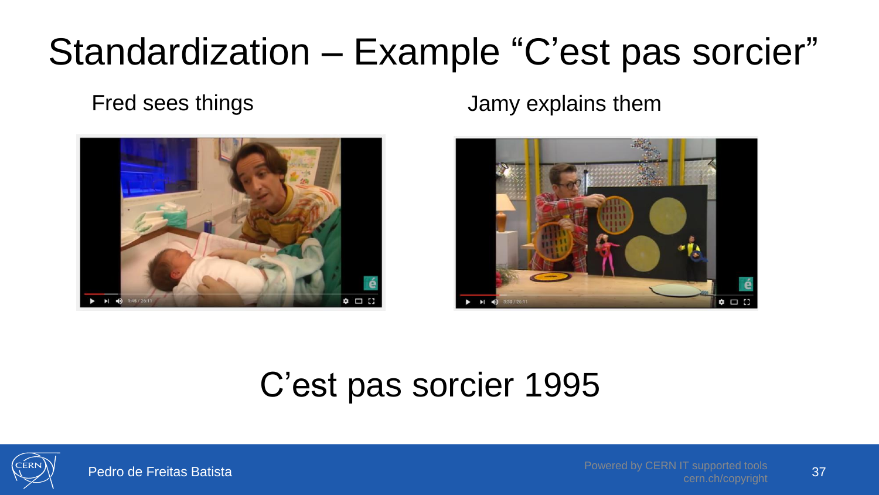#### Standardization – Example "C'est pas sorcier"

Fred sees things **Fred sees things Jamy explains them** 





#### C'est pas sorcier 1995

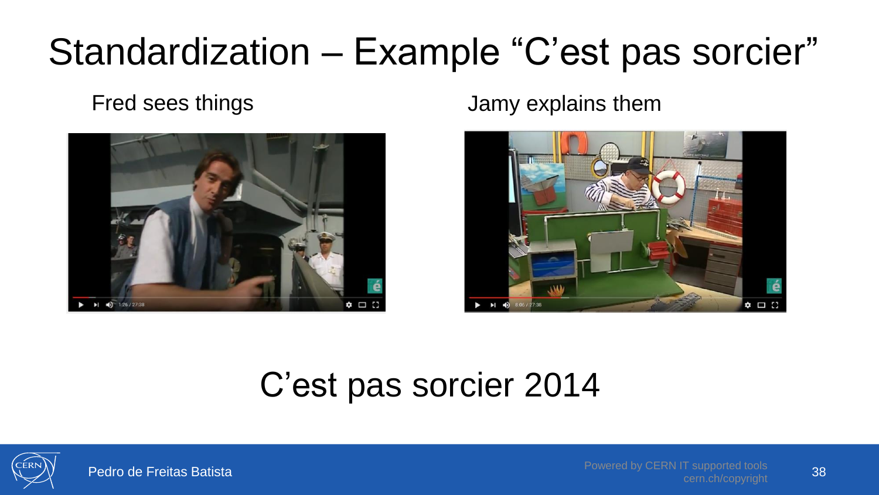#### Standardization – Example "C'est pas sorcier"



Fred sees things **Fred sees things Jamy explains them** 



#### C'est pas sorcier 2014

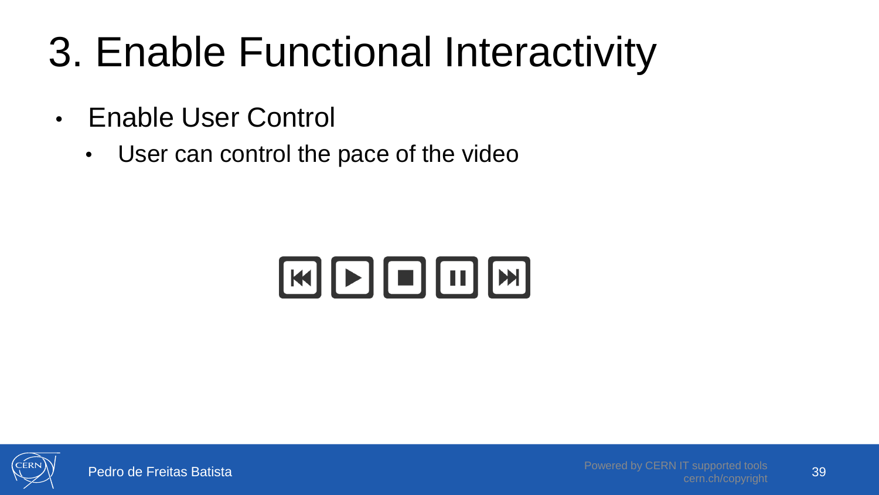# 3. Enable Functional Interactivity

- Enable User Control
	- User can control the pace of the video

# KDDOM

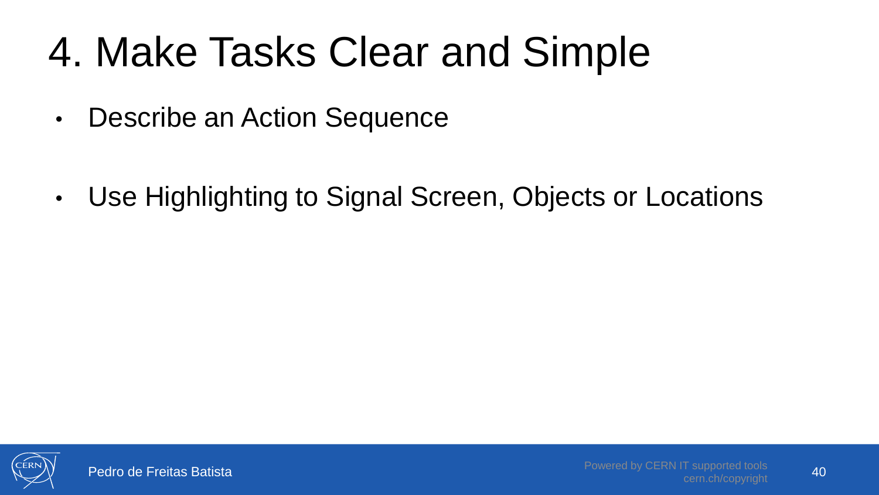# 4. Make Tasks Clear and Simple

- Describe an Action Sequence
- Use Highlighting to Signal Screen, Objects or Locations

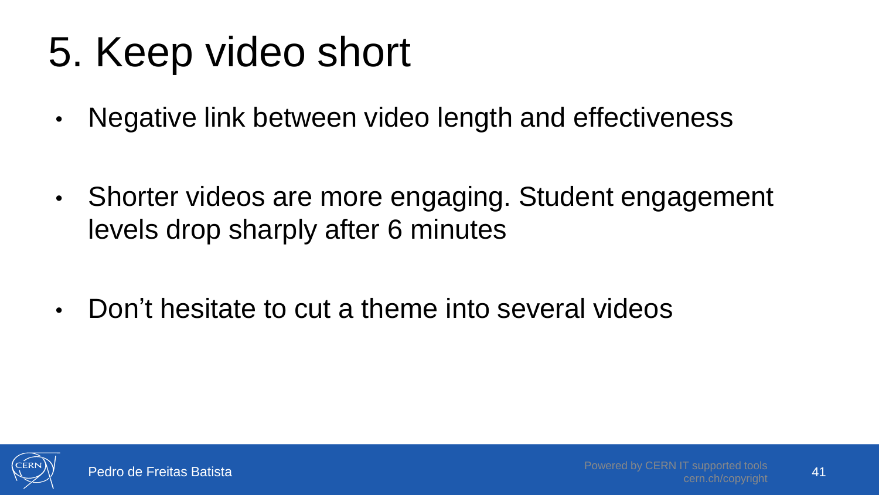## 5. Keep video short

• Negative link between video length and effectiveness

- Shorter videos are more engaging. Student engagement levels drop sharply after 6 minutes
- Don't hesitate to cut a theme into several videos

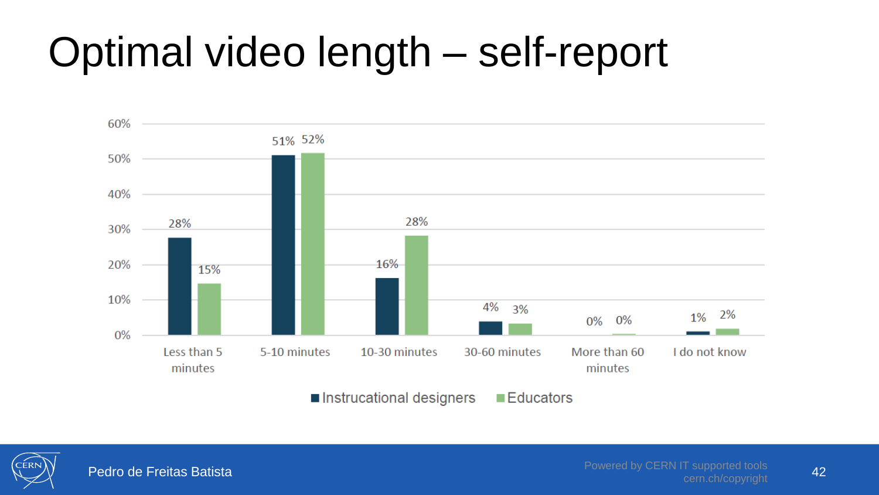## Optimal video length – self-report



`FRN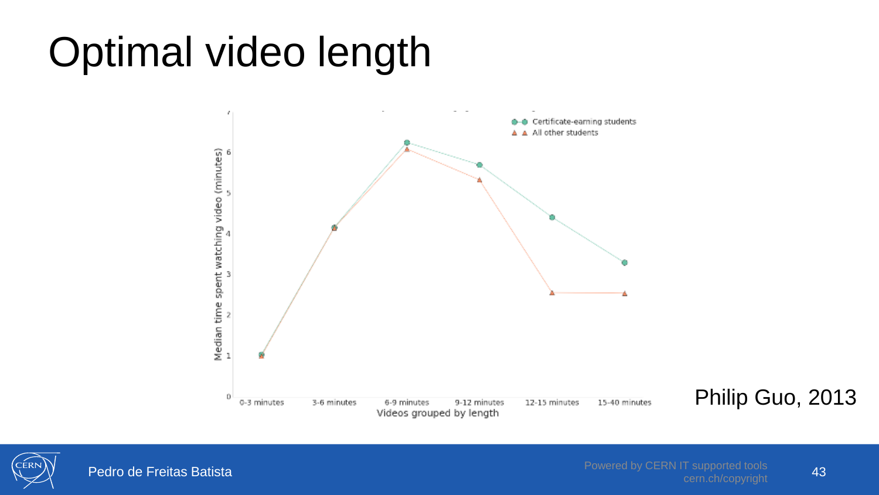## Optimal video length



Philip Guo, 2013

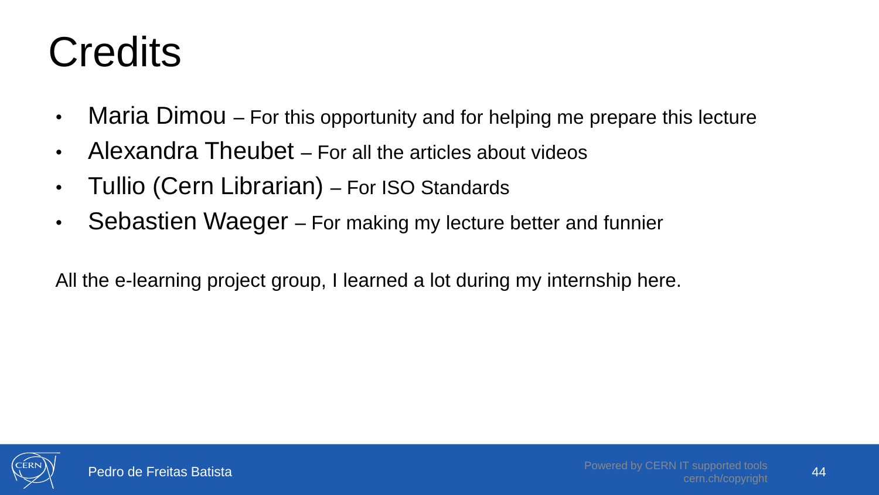# **Credits**

- Maria Dimou For this opportunity and for helping me prepare this lecture
- Alexandra Theubet For all the articles about videos
- Tullio (Cern Librarian) For ISO Standards
- Sebastien Waeger For making my lecture better and funnier

All the e-learning project group, I learned a lot during my internship here.

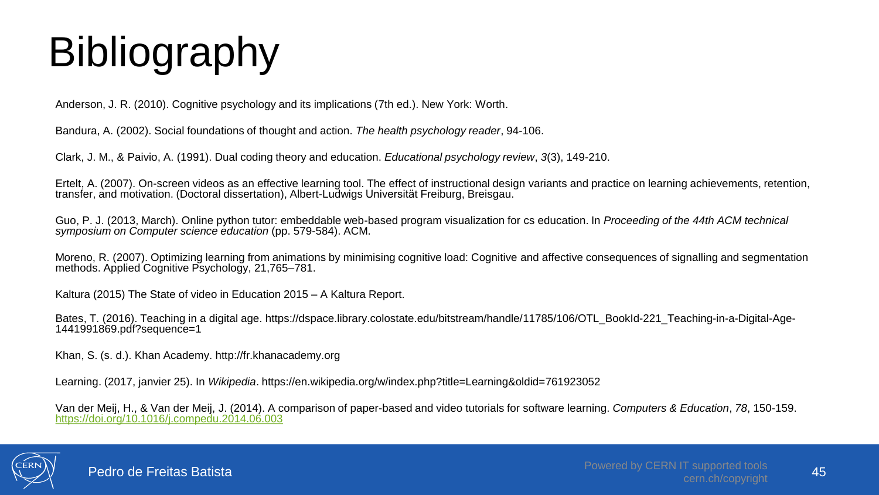# Bibliography

Anderson, J. R. (2010). Cognitive psychology and its implications (7th ed.). New York: Worth.

Bandura, A. (2002). Social foundations of thought and action. *The health psychology reader*, 94-106.

Clark, J. M., & Paivio, A. (1991). Dual coding theory and education. *Educational psychology review*, *3*(3), 149-210.

Ertelt, A. (2007). On-screen videos as an effective learning tool. The effect of instructional design variants and practice on learning achievements, retention, transfer, and motivation. (Doctoral dissertation), Albert-Ludwigs Universität Freiburg, Breisgau.

Guo, P. J. (2013, March). Online python tutor: embeddable web-based program visualization for cs education. In *Proceeding of the 44th ACM technical symposium on Computer science education* (pp. 579-584). ACM.

Moreno, R. (2007). Optimizing learning from animations by minimising cognitive load: Cognitive and affective consequences of signalling and segmentation methods. Applied Cognitive Psychology, 21,765-781.

Kaltura (2015) The State of video in Education 2015 – A Kaltura Report.

Bates, T. (2016). Teaching in a digital age. https://dspace.library.colostate.edu/bitstream/handle/11785/106/OTL\_BookId-221\_Teaching-in-a-Digital-Age-1441991869.pdf?sequence=1

Khan, S. (s. d.). Khan Academy. http://fr.khanacademy.org

Learning. (2017, janvier 25). In *Wikipedia*. https://en.wikipedia.org/w/index.php?title=Learning&oldid=761923052

Van der Meij, H., & Van der Meij, J. (2014). A comparison of paper-based and video tutorials for software learning. *Computers & Education*, *78*, 150-159. <https://doi.org/10.1016/j.compedu.2014.06.003>

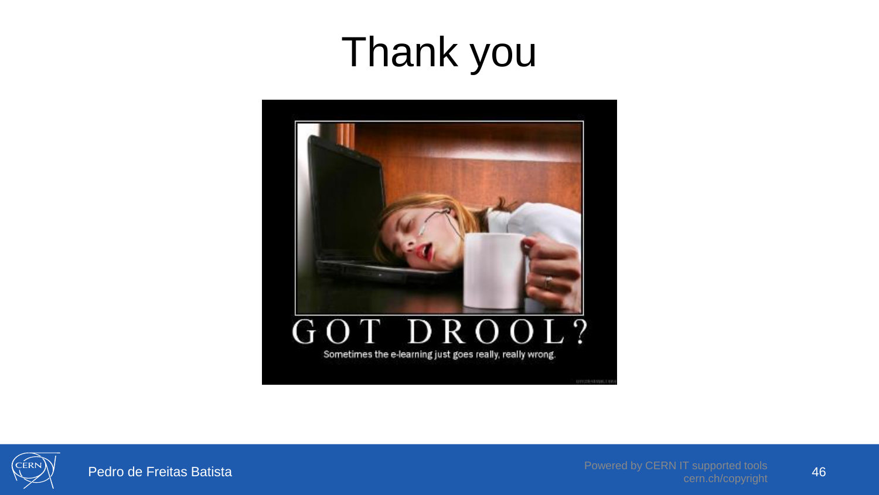#### Thank you